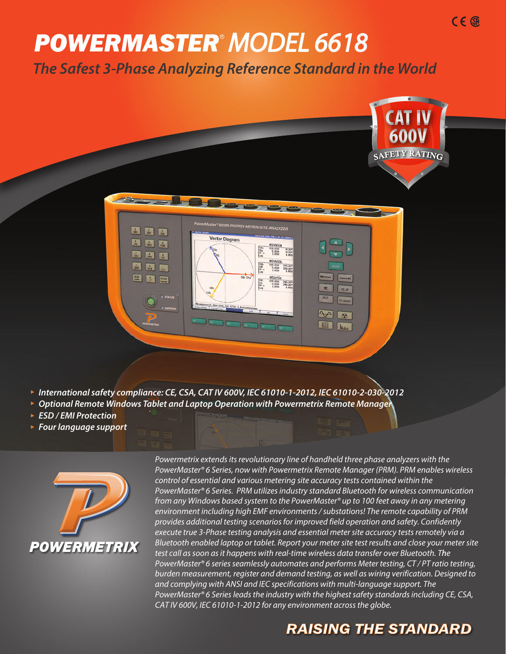# **POWERMASTER® MODEL 6618**

*The Safest 3-Phase Analyzing Reference Standard in the World*



- *International safety compliance: CE, CSA, CAT IV 600V, IEC 61010-1-2012, IEC 61010-2-030-2012*
- *Optional Remote Windows Tablet and Laptop Operation with Powermetrix Remote Manager*
- *ESD / EMI Protection*
- *Four language support*



*Powermetrix extends its revolutionary line of handheld three phase analyzers with the PowerMaster*® *6 Series, now with Powermetrix Remote Manager (PRM). PRM enables wireless control of essential and various metering site accuracy tests contained within the PowerMaster*® *6 Series. PRM utilizes industry standard Bluetooth for wireless communication from any Windows based system to the PowerMaster*® *up to 100 feet away in any metering environment including high EMF environments / substations! The remote capability of PRM provides additional testing scenarios for improved field operation and safety. Confidently execute true 3-Phase testing analysis and essential meter site accuracy tests remotely via a Bluetooth enabled* laptop or tablet. Report your meter site test results and close your meter site test call as soon as it happens with real-time wireless data transfer over Bluetooth. *The PowerMaster*® *6 series seamlessly automates and performs Meter testing, CT / PT ratio testing, burden measurement, register and demand testing, as well as wiring verification. Designed to and complying with ANSI and IEC specifications with multi-language support. The PowerMaster*® *6 Series leads the industry with the highest safety standards including CE, CSA, CAT IV 600V, IEC 61010-1-2012 for any environment across the globe.* 

## **RAISING THE STANDARD**